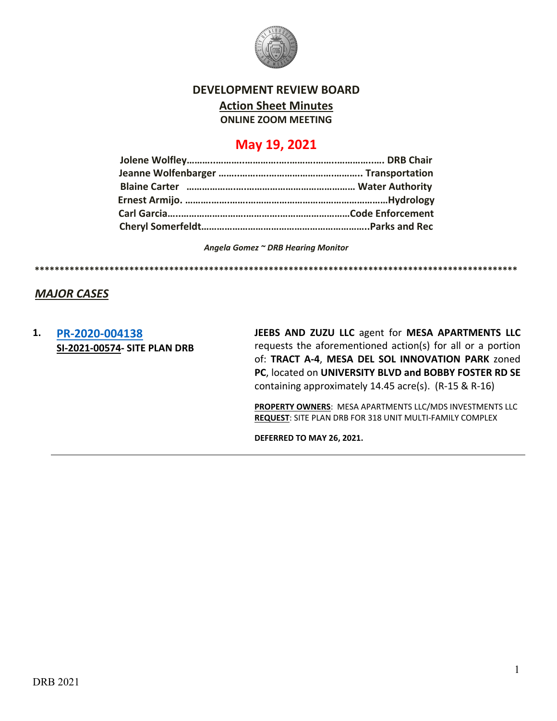

# **DEVELOPMENT REVIEW BOARD**

**Action Sheet Minutes**

**ONLINE ZOOM MEETING**

# **May 19, 2021**

*Angela Gomez ~ DRB Hearing Monitor*

**\*\*\*\*\*\*\*\*\*\*\*\*\*\*\*\*\*\*\*\*\*\*\*\*\*\*\*\*\*\*\*\*\*\*\*\*\*\*\*\*\*\*\*\*\*\*\*\*\*\*\*\*\*\*\*\*\*\*\*\*\*\*\*\*\*\*\*\*\*\*\*\*\*\*\*\*\*\*\*\*\*\*\*\*\*\*\*\*\*\*\*\*\*\*\*\*\***

### *MAJOR CASES*

**1. [PR-2020-004138](http://data.cabq.gov/government/planning/DRB/PR-2020-004138/DRB%20Submittals/PR-2020-004138_May_19_2021/) SI-2021-00574- SITE PLAN DRB** **JEEBS AND ZUZU LLC** agent for **MESA APARTMENTS LLC** requests the aforementioned action(s) for all or a portion of: **TRACT A-4**, **MESA DEL SOL INNOVATION PARK** zoned **PC**, located on **UNIVERSITY BLVD and BOBBY FOSTER RD SE** containing approximately 14.45 acre(s). (R-15 & R-16)

**PROPERTY OWNERS**: MESA APARTMENTS LLC/MDS INVESTMENTS LLC **REQUEST**: SITE PLAN DRB FOR 318 UNIT MULTI-FAMILY COMPLEX

**DEFERRED TO MAY 26, 2021.**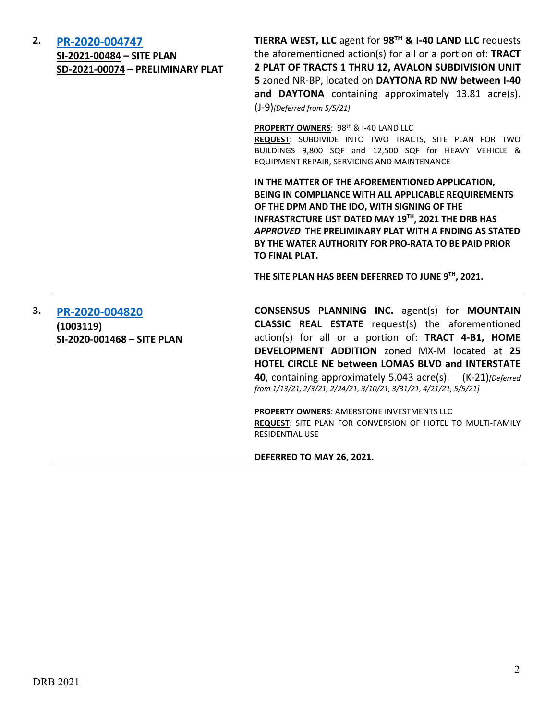# **2. [PR-2020-004747](http://data.cabq.gov/government/planning/DRB/PR-2020-004747/DRB%20Submittals/PR-2020-004747_May_19_2021_Supp/Application/)**

**SI-2021-00484 – SITE PLAN SD-2021-00074 – PRELIMINARY PLAT** **TIERRA WEST, LLC** agent for **98TH & I-40 LAND LLC** requests the aforementioned action(s) for all or a portion of: **TRACT 2 PLAT OF TRACTS 1 THRU 12, AVALON SUBDIVISION UNIT 5** zoned NR-BP, located on **DAYTONA RD NW between I-40 and DAYTONA** containing approximately 13.81 acre(s). (J-9)*[Deferred from 5/5/21]*

PROPERTY OWNERS: 98<sup>th</sup> & I-40 LAND LLC

**REQUEST**: SUBDIVIDE INTO TWO TRACTS, SITE PLAN FOR TWO BUILDINGS 9,800 SQF and 12,500 SQF for HEAVY VEHICLE & EQUIPMENT REPAIR, SERVICING AND MAINTENANCE

**IN THE MATTER OF THE AFOREMENTIONED APPLICATION, BEING IN COMPLIANCE WITH ALL APPLICABLE REQUIREMENTS OF THE DPM AND THE IDO, WITH SIGNING OF THE INFRASTRCTURE LIST DATED MAY 19TH, 2021 THE DRB HAS**  *APPROVED* **THE PRELIMINARY PLAT WITH A FNDING AS STATED BY THE WATER AUTHORITY FOR PRO-RATA TO BE PAID PRIOR TO FINAL PLAT.**

**THE SITE PLAN HAS BEEN DEFERRED TO JUNE 9TH, 2021.**

**3. [PR-2020-004820](http://data.cabq.gov/government/planning/DRB/PR-2020-004820/DRB%20Submittals/PR-2020-004820_Apr_21_2021_supp/PR-2020-004820%20Supplemental%20DRB%20Submittal%204-15-21.pdf) (1003119) SI-2020-001468** – **SITE PLAN CONSENSUS PLANNING INC.** agent(s) for **MOUNTAIN CLASSIC REAL ESTATE** request(s) the aforementioned action(s) for all or a portion of: **TRACT 4-B1, HOME DEVELOPMENT ADDITION** zoned MX-M located at **25 HOTEL CIRCLE NE between LOMAS BLVD and INTERSTATE 40**, containing approximately 5.043 acre(s). (K-21)*[Deferred from 1/13/21, 2/3/21, 2/24/21, 3/10/21, 3/31/21, 4/21/21, 5/5/21]*

> **PROPERTY OWNERS**: AMERSTONE INVESTMENTS LLC **REQUEST**: SITE PLAN FOR CONVERSION OF HOTEL TO MULTI-FAMILY RESIDENTIAL USE

**DEFERRED TO MAY 26, 2021.**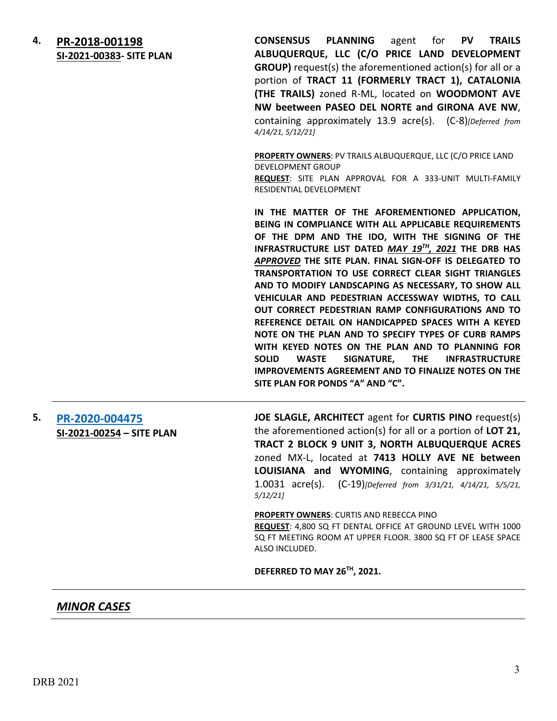**4. [PR-2018-001198](http://data.cabq.gov/government/planning/DRB/PR-2018-001198/DRB%20Submittals/) SI-2021-00383- SITE PLAN** **CONSENSUS PLANNING** agent for **PV TRAILS ALBUQUERQUE, LLC (C/O PRICE LAND DEVELOPMENT GROUP)** request(s) the aforementioned action(s) for all or a portion of **TRACT 11 (FORMERLY TRACT 1), CATALONIA (THE TRAILS)** zoned R-ML, located on **WOODMONT AVE NW beetween PASEO DEL NORTE and GIRONA AVE NW**, containing approximately 13.9 acre(s). (C-8)*[Deferred from 4/14/21, 5/12/21]*

**PROPERTY OWNERS**: PV TRAILS ALBUQUERQUE, LLC (C/O PRICE LAND DEVELOPMENT GROUP **REQUEST**: SITE PLAN APPROVAL FOR A 333-UNIT MULTI-FAMILY RESIDENTIAL DEVELOPMENT

**IN THE MATTER OF THE AFOREMENTIONED APPLICATION, BEING IN COMPLIANCE WITH ALL APPLICABLE REQUIREMENTS OF THE DPM AND THE IDO, WITH THE SIGNING OF THE INFRASTRUCTURE LIST DATED** *MAY 19TH, 2021* **THE DRB HAS**  *APPROVED* **THE SITE PLAN. FINAL SIGN-OFF IS DELEGATED TO TRANSPORTATION TO USE CORRECT CLEAR SIGHT TRIANGLES AND TO MODIFY LANDSCAPING AS NECESSARY, TO SHOW ALL VEHICULAR AND PEDESTRIAN ACCESSWAY WIDTHS, TO CALL OUT CORRECT PEDESTRIAN RAMP CONFIGURATIONS AND TO REFERENCE DETAIL ON HANDICAPPED SPACES WITH A KEYED NOTE ON THE PLAN AND TO SPECIFY TYPES OF CURB RAMPS WITH KEYED NOTES ON THE PLAN AND TO PLANNING FOR SOLID WASTE SIGNATURE, THE INFRASTRUCTURE IMPROVEMENTS AGREEMENT AND TO FINALIZE NOTES ON THE SITE PLAN FOR PONDS "A" AND "C".**

**5. [PR-2020-004475](http://data.cabq.gov/government/planning/DRB/PR-2020-004475/DRB%20Submittals/) SI-2021-00254 – SITE PLAN** **JOE SLAGLE, ARCHITECT** agent for **CURTIS PINO** request(s) the aforementioned action(s) for all or a portion of **LOT 21, TRACT 2 BLOCK 9 UNIT 3, NORTH ALBUQUERQUE ACRES**  zoned MX-L, located at **7413 HOLLY AVE NE between LOUISIANA and WYOMING**, containing approximately 1.0031 acre(s). (C-19)*[Deferred from 3/31/21, 4/14/21, 5/5/21, 5/12/21]*

#### **PROPERTY OWNERS**: CURTIS AND REBECCA PINO **REQUEST**: 4,800 SQ FT DENTAL OFFICE AT GROUND LEVEL WITH 1000 SQ FT MEETING ROOM AT UPPER FLOOR. 3800 SQ FT OF LEASE SPACE ALSO INCLUDED.

**DEFERRED TO MAY 26TH, 2021.**

## *MINOR CASES*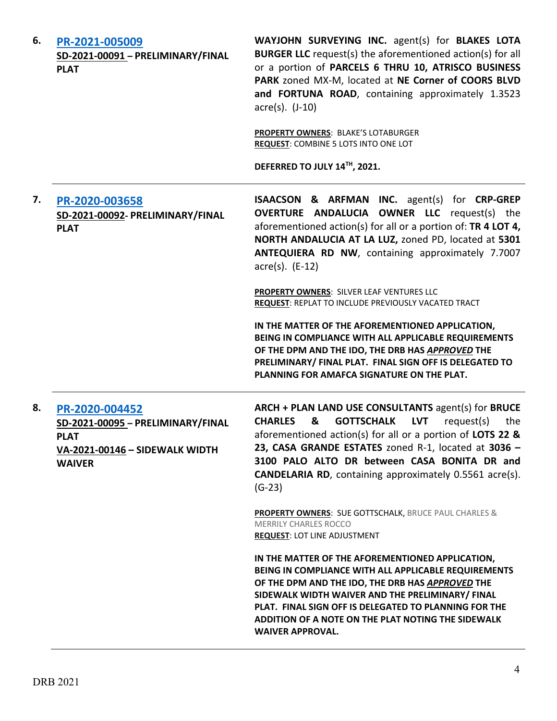| 6. | PR-2021-005009<br>SD-2021-00091 - PRELIMINARY/FINAL<br><b>PLAT</b>                                                    | WAYJOHN SURVEYING INC. agent(s) for BLAKES LOTA<br><b>BURGER LLC</b> request(s) the aforementioned action(s) for all<br>or a portion of PARCELS 6 THRU 10, ATRISCO BUSINESS<br>PARK zoned MX-M, located at NE Corner of COORS BLVD<br>and FORTUNA ROAD, containing approximately 1.3523<br>$\arccos(5)$ . (J-10)                                                                        |
|----|-----------------------------------------------------------------------------------------------------------------------|-----------------------------------------------------------------------------------------------------------------------------------------------------------------------------------------------------------------------------------------------------------------------------------------------------------------------------------------------------------------------------------------|
|    |                                                                                                                       | <b>PROPERTY OWNERS: BLAKE'S LOTABURGER</b><br>REQUEST: COMBINE 5 LOTS INTO ONE LOT<br>DEFERRED TO JULY 14TH, 2021.                                                                                                                                                                                                                                                                      |
| 7. | PR-2020-003658<br>SD-2021-00092- PRELIMINARY/FINAL<br><b>PLAT</b>                                                     | <b>ISAACSON &amp; ARFMAN INC.</b> agent(s) for CRP-GREP<br><b>OVERTURE ANDALUCIA OWNER LLC</b> request(s) the<br>aforementioned action(s) for all or a portion of: TR 4 LOT 4,<br>NORTH ANDALUCIA AT LA LUZ, zoned PD, located at 5301<br>ANTEQUIERA RD NW, containing approximately 7.7007<br>$\arccos 0$ . (E-12)                                                                     |
|    |                                                                                                                       | PROPERTY OWNERS: SILVER LEAF VENTURES LLC<br>REQUEST: REPLAT TO INCLUDE PREVIOUSLY VACATED TRACT                                                                                                                                                                                                                                                                                        |
|    |                                                                                                                       | IN THE MATTER OF THE AFOREMENTIONED APPLICATION,<br>BEING IN COMPLIANCE WITH ALL APPLICABLE REQUIREMENTS<br>OF THE DPM AND THE IDO, THE DRB HAS APPROVED THE<br>PRELIMINARY/ FINAL PLAT. FINAL SIGN OFF IS DELEGATED TO<br>PLANNING FOR AMAFCA SIGNATURE ON THE PLAT.                                                                                                                   |
| 8. | PR-2020-004452<br>SD-2021-00095 - PRELIMINARY/FINAL<br><b>PLAT</b><br>VA-2021-00146 - SIDEWALK WIDTH<br><b>WAIVER</b> | ARCH + PLAN LAND USE CONSULTANTS agent(s) for BRUCE<br><b>GOTTSCHALK</b><br><b>CHARLES</b><br><b>LVT</b><br>request(s)<br>&<br>the<br>aforementioned action(s) for all or a portion of LOTS 22 &<br>23, CASA GRANDE ESTATES zoned R-1, located at 3036 -<br>3100 PALO ALTO DR between CASA BONITA DR and<br><b>CANDELARIA RD</b> , containing approximately 0.5561 acre(s).<br>$(G-23)$ |
|    |                                                                                                                       | <b>PROPERTY OWNERS: SUE GOTTSCHALK, BRUCE PAUL CHARLES &amp;</b><br><b>MERRILY CHARLES ROCCO</b><br><b>REQUEST: LOT LINE ADJUSTMENT</b>                                                                                                                                                                                                                                                 |
|    |                                                                                                                       | IN THE MATTER OF THE AFOREMENTIONED APPLICATION,<br>BEING IN COMPLIANCE WITH ALL APPLICABLE REQUIREMENTS<br>OF THE DPM AND THE IDO, THE DRB HAS APPROVED THE<br>SIDEWALK WIDTH WAIVER AND THE PRELIMINARY/ FINAL<br>PLAT. FINAL SIGN OFF IS DELEGATED TO PLANNING FOR THE<br>ADDITION OF A NOTE ON THE PLAT NOTING THE SIDEWALK<br><b>WAIVER APPROVAL.</b>                              |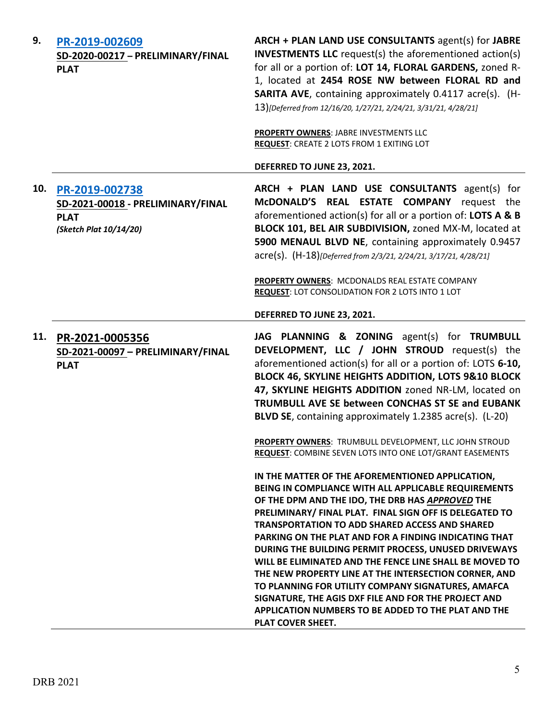| 9.  | PR-2019-002609<br>SD-2020-00217 - PRELIMINARY/FINAL<br><b>PLAT</b>                           | ARCH + PLAN LAND USE CONSULTANTS agent(s) for JABRE<br><b>INVESTMENTS LLC</b> request(s) the aforementioned action(s)<br>for all or a portion of: LOT 14, FLORAL GARDENS, zoned R-<br>1, located at 2454 ROSE NW between FLORAL RD and<br>SARITA AVE, containing approximately 0.4117 acre(s). (H-<br>13)[Deferred from 12/16/20, 1/27/21, 2/24/21, 3/31/21, 4/28/21]<br>PROPERTY OWNERS: JABRE INVESTMENTS LLC                                                                                                                                                                                                                                                                                                 |
|-----|----------------------------------------------------------------------------------------------|-----------------------------------------------------------------------------------------------------------------------------------------------------------------------------------------------------------------------------------------------------------------------------------------------------------------------------------------------------------------------------------------------------------------------------------------------------------------------------------------------------------------------------------------------------------------------------------------------------------------------------------------------------------------------------------------------------------------|
|     |                                                                                              | <b>REQUEST: CREATE 2 LOTS FROM 1 EXITING LOT</b>                                                                                                                                                                                                                                                                                                                                                                                                                                                                                                                                                                                                                                                                |
|     |                                                                                              | DEFERRED TO JUNE 23, 2021.                                                                                                                                                                                                                                                                                                                                                                                                                                                                                                                                                                                                                                                                                      |
| 10. | PR-2019-002738<br>SD-2021-00018 - PRELIMINARY/FINAL<br><b>PLAT</b><br>(Sketch Plat 10/14/20) | ARCH + PLAN LAND USE CONSULTANTS agent(s) for<br>McDONALD'S REAL ESTATE COMPANY request the<br>aforementioned action(s) for all or a portion of: LOTS A & B<br>BLOCK 101, BEL AIR SUBDIVISION, zoned MX-M, located at<br>5900 MENAUL BLVD NE, containing approximately 0.9457<br>acre(s). (H-18)[Deferred from 2/3/21, 2/24/21, 3/17/21, 4/28/21]                                                                                                                                                                                                                                                                                                                                                               |
|     |                                                                                              | PROPERTY OWNERS: MCDONALDS REAL ESTATE COMPANY<br>REQUEST: LOT CONSOLIDATION FOR 2 LOTS INTO 1 LOT                                                                                                                                                                                                                                                                                                                                                                                                                                                                                                                                                                                                              |
|     |                                                                                              | DEFERRED TO JUNE 23, 2021.                                                                                                                                                                                                                                                                                                                                                                                                                                                                                                                                                                                                                                                                                      |
| 11. | PR-2021-0005356<br>SD-2021-00097 - PRELIMINARY/FINAL<br><b>PLAT</b>                          | JAG PLANNING & ZONING agent(s) for TRUMBULL<br>DEVELOPMENT, LLC / JOHN STROUD request(s) the<br>aforementioned action(s) for all or a portion of: LOTS 6-10,<br>BLOCK 46, SKYLINE HEIGHTS ADDITION, LOTS 9&10 BLOCK<br>47, SKYLINE HEIGHTS ADDITION zoned NR-LM, located on<br>TRUMBULL AVE SE between CONCHAS ST SE and EUBANK<br>BLVD SE, containing approximately 1.2385 acre(s). (L-20)                                                                                                                                                                                                                                                                                                                     |
|     |                                                                                              | PROPERTY OWNERS: TRUMBULL DEVELOPMENT, LLC JOHN STROUD<br>REQUEST: COMBINE SEVEN LOTS INTO ONE LOT/GRANT EASEMENTS                                                                                                                                                                                                                                                                                                                                                                                                                                                                                                                                                                                              |
|     |                                                                                              | IN THE MATTER OF THE AFOREMENTIONED APPLICATION,<br>BEING IN COMPLIANCE WITH ALL APPLICABLE REQUIREMENTS<br>OF THE DPM AND THE IDO, THE DRB HAS APPROVED THE<br>PRELIMINARY/ FINAL PLAT. FINAL SIGN OFF IS DELEGATED TO<br><b>TRANSPORTATION TO ADD SHARED ACCESS AND SHARED</b><br>PARKING ON THE PLAT AND FOR A FINDING INDICATING THAT<br>DURING THE BUILDING PERMIT PROCESS, UNUSED DRIVEWAYS<br>WILL BE ELIMINATED AND THE FENCE LINE SHALL BE MOVED TO<br>THE NEW PROPERTY LINE AT THE INTERSECTION CORNER, AND<br>TO PLANNING FOR UTILITY COMPANY SIGNATURES, AMAFCA<br>SIGNATURE, THE AGIS DXF FILE AND FOR THE PROJECT AND<br>APPLICATION NUMBERS TO BE ADDED TO THE PLAT AND THE<br>PLAT COVER SHEET. |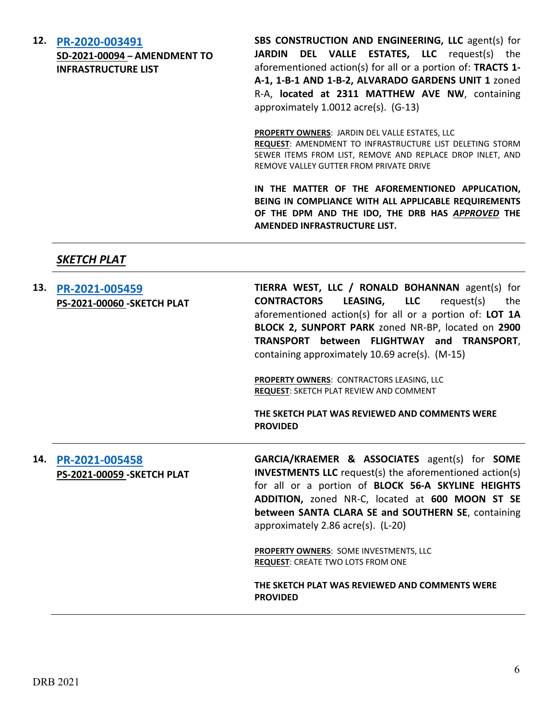**12. [PR-2020-003491](http://data.cabq.gov/government/planning/DRB/PR-2020-003491/DRB%20Submittals/PR-2020-003491_May_19_2021/Application/AMEND%20INFRASTRUCTURE%20LIST%20DRB-1011331.pdf)**

**SD-2021-00094 – AMENDMENT TO INFRASTRUCTURE LIST**

**SBS CONSTRUCTION AND ENGINEERING, LLC** agent(s) for **JARDIN DEL VALLE ESTATES, LLC** request(s) the aforementioned action(s) for all or a portion of: **TRACTS 1- A-1, 1-B-1 AND 1-B-2, ALVARADO GARDENS UNIT 1** zoned R-A, **located at 2311 MATTHEW AVE NW**, containing approximately 1.0012 acre(s). (G-13)

**PROPERTY OWNERS**: JARDIN DEL VALLE ESTATES, LLC **REQUEST**: AMENDMENT TO INFRASTRUCTURE LIST DELETING STORM SEWER ITEMS FROM LIST, REMOVE AND REPLACE DROP INLET, AND REMOVE VALLEY GUTTER FROM PRIVATE DRIVE

**IN THE MATTER OF THE AFOREMENTIONED APPLICATION, BEING IN COMPLIANCE WITH ALL APPLICABLE REQUIREMENTS OF THE DPM AND THE IDO, THE DRB HAS** *APPROVED* **THE AMENDED INFRASTRUCTURE LIST.**

*SKETCH PLAT*

|     | 13. PR-2021-005459<br><b>PS-2021-00060 - SKETCH PLAT</b> | TIERRA WEST, LLC / RONALD BOHANNAN agent(s) for<br>LEASING, LLC<br><b>CONTRACTORS</b><br>request(s)<br>the<br>aforementioned action(s) for all or a portion of: LOT 1A<br>BLOCK 2, SUNPORT PARK zoned NR-BP, located on 2900<br>TRANSPORT between FLIGHTWAY and TRANSPORT,<br>containing approximately 10.69 acre(s). (M-15) |
|-----|----------------------------------------------------------|------------------------------------------------------------------------------------------------------------------------------------------------------------------------------------------------------------------------------------------------------------------------------------------------------------------------------|
|     |                                                          | PROPERTY OWNERS: CONTRACTORS LEASING, LLC<br>REQUEST: SKETCH PLAT REVIEW AND COMMENT                                                                                                                                                                                                                                         |
|     |                                                          | THE SKETCH PLAT WAS REVIEWED AND COMMENTS WERE<br><b>PROVIDED</b>                                                                                                                                                                                                                                                            |
| 14. | PR-2021-005458<br>PS-2021-00059 - SKETCH PLAT            | GARCIA/KRAEMER & ASSOCIATES agent(s) for SOME<br><b>INVESTMENTS LLC</b> request(s) the aforementioned action(s)<br>for all or a portion of BLOCK 56-A SKYLINE HEIGHTS<br>ADDITION, zoned NR-C, located at 600 MOON ST SE<br>between SANTA CLARA SE and SOUTHERN SE, containing<br>approximately 2.86 acre(s). (L-20)         |
|     |                                                          | PROPERTY OWNERS: SOME INVESTMENTS, LLC<br><b>REQUEST: CREATE TWO LOTS FROM ONE</b>                                                                                                                                                                                                                                           |
|     |                                                          |                                                                                                                                                                                                                                                                                                                              |